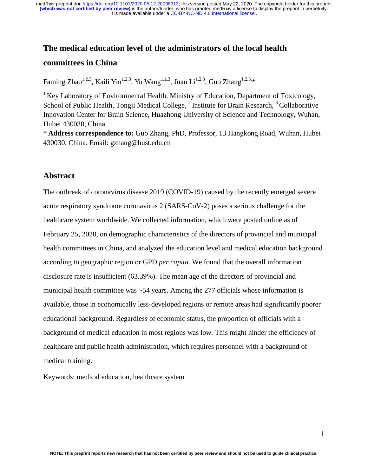# **The medical education level of the administrators of the local health committees in China**

Faming Zhao<sup>1,2,3</sup>, Kaili Yin<sup>1,2,3</sup>, Yu Wang<sup>1,2,3</sup>, Juan Li<sup>1,2,3</sup>, Guo Zhang<sup>1,2,3,\*</sup>

<sup>1</sup> Key Laboratory of Environmental Health, Ministry of Education, Department of Toxicology, School of Public Health, Tongji Medical College, <sup>2</sup> Institute for Brain Research, <sup>3</sup> Collaborative Innovation Center for Brain Science, Huazhong University of Science and Technology, Wuhan, Hubei 430030, China.

\* **Address correspondence to:** Guo Zhang, PhD, Professor, 13 Hangkong Road, Wuhan, Hubei 430030, China. Email: gzhang@hust.edu.cn

# **Abstract**

The outbreak of coronavirus disease 2019 (COVID-19) caused by the recently emerged severe acute respiratory syndrome coronavirus 2 (SARS-CoV-2) poses a serious challenge for the healthcare system worldwide. We collected information, which were posted online as of February 25, 2020, on demographic characteristics of the directors of provincial and municipal health committees in China, and analyzed the education level and medical education background according to geographic region or GPD *per capita*. We found that the overall information disclosure rate is insufficient (63.39%). The mean age of the directors of provincial and municipal health committee was ~54 years. Among the 277 officials whose information is available, those in economically less-developed regions or remote areas had significantly poorer educational background. Regardless of economic status, the proportion of officials with a background of medical education in most regions was low. This might hinder the efficiency of healthcare and public health administration, which requires personnel with a background of medical training.

Keywords: medical education, healthcare system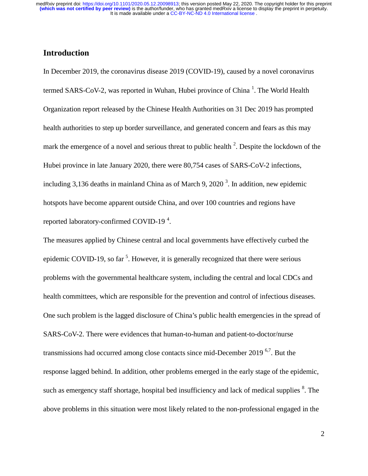# **Introduction**

In December 2019, the coronavirus disease 2019 (COVID-19), caused by a novel coronavirus termed SARS-CoV-2, was reported in Wuhan, Hubei province of China<sup>1</sup>. The World Health Organization report released by the Chinese Health Authorities on 31 Dec 2019 has prompted health authorities to step up border surveillance, and generated concern and fears as this may mark the emergence of a novel and serious threat to public health  $2$ . Despite the lockdown of the Hubei province in late January 2020, there were 80,754 cases of SARS-CoV-2 infections, including 3,136 deaths in mainland China as of March 9, 2020<sup>3</sup>. In addition, new epidemic hotspots have become apparent outside China, and over 100 countries and regions have reported laboratory-confirmed COVID-19<sup>4</sup>.

The measures applied by Chinese central and local governments have effectively curbed the epidemic COVID-19, so far  $5$ . However, it is generally recognized that there were serious problems with the governmental healthcare system, including the central and local CDCs and health committees, which are responsible for the prevention and control of infectious diseases. One such problem is the lagged disclosure of China's public health emergencies in the spread of SARS-CoV-2. There were evidences that human-to-human and patient-to-doctor/nurse transmissions had occurred among close contacts since mid-December 2019<sup>6,7</sup>. But the response lagged behind. In addition, other problems emerged in the early stage of the epidemic, such as emergency staff shortage, hospital bed insufficiency and lack of medical supplies <sup>8</sup>. The above problems in this situation were most likely related to the non-professional engaged in the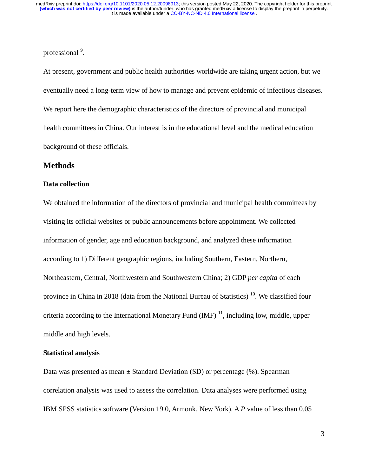professional<sup>9</sup>.

At present, government and public health authorities worldwide are taking urgent action, but we eventually need a long-term view of how to manage and prevent epidemic of infectious diseases. We report here the demographic characteristics of the directors of provincial and municipal health committees in China. Our interest is in the educational level and the medical education background of these officials.

# **Methods**

#### **Data collection**

We obtained the information of the directors of provincial and municipal health committees by visiting its official websites or public announcements before appointment. We collected information of gender, age and education background, and analyzed these information according to 1) Different geographic regions, including Southern, Eastern, Northern, Northeastern, Central, Northwestern and Southwestern China; 2) GDP *per capita* of each province in China in 2018 (data from the National Bureau of Statistics)  $^{10}$ . We classified four criteria according to the International Monetary Fund  $(MF)^{11}$ , including low, middle, upper middle and high levels.

#### **Statistical analysis**

Data was presented as mean  $\pm$  Standard Deviation (SD) or percentage (%). Spearman correlation analysis was used to assess the correlation. Data analyses were performed using IBM SPSS statistics software (Version 19.0, Armonk, New York). A *P* value of less than 0.05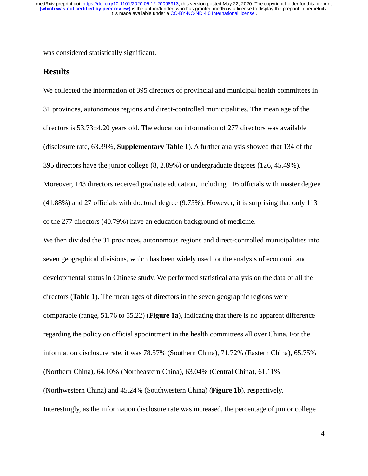was considered statistically significant.

#### **Results**

We collected the information of 395 directors of provincial and municipal health committees in 31 provinces, autonomous regions and direct-controlled municipalities. The mean age of the directors is 53.73±4.20 years old. The education information of 277 directors was available (disclosure rate, 63.39%, **Supplementary Table 1**). A further analysis showed that 134 of the 395 directors have the junior college (8, 2.89%) or undergraduate degrees (126, 45.49%). Moreover, 143 directors received graduate education, including 116 officials with master degree (41.88%) and 27 officials with doctoral degree (9.75%). However, it is surprising that only 113 of the 277 directors (40.79%) have an education background of medicine.

We then divided the 31 provinces, autonomous regions and direct-controlled municipalities into seven geographical divisions, which has been widely used for the analysis of economic and developmental status in Chinese study. We performed statistical analysis on the data of all the directors (**Table 1**). The mean ages of directors in the seven geographic regions were comparable (range, 51.76 to 55.22) (**Figure 1a**), indicating that there is no apparent difference regarding the policy on official appointment in the health committees all over China. For the information disclosure rate, it was 78.57% (Southern China), 71.72% (Eastern China), 65.75% (Northern China), 64.10% (Northeastern China), 63.04% (Central China), 61.11% (Northwestern China) and 45.24% (Southwestern China) (**Figure 1b**), respectively. Interestingly, as the information disclosure rate was increased, the percentage of junior college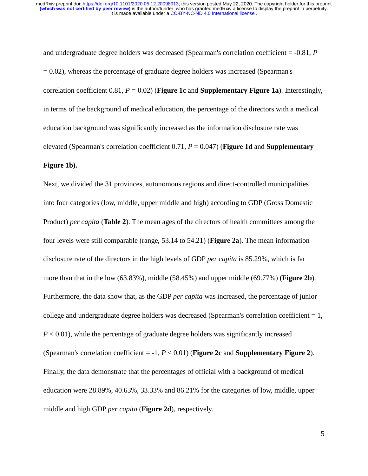and undergraduate degree holders was decreased (Spearman's correlation coefficient = -0.81, *P*  $= 0.02$ ), whereas the percentage of graduate degree holders was increased (Spearman's correlation coefficient  $0.81$ ,  $P = 0.02$ ) (**Figure 1c** and **Supplementary Figure 1a**). Interestingly, in terms of the background of medical education, the percentage of the directors with a medical education background was significantly increased as the information disclosure rate was elevated (Spearman's correlation coefficient 0.71, *P* = 0.047) (**Figure 1d** and **Supplementary Figure 1b).** 

Next, we divided the 31 provinces, autonomous regions and direct-controlled municipalities into four categories (low, middle, upper middle and high) according to GDP (Gross Domestic Product) *per capita* (**Table 2**). The mean ages of the directors of health committees among the four levels were still comparable (range, 53.14 to 54.21) (**Figure 2a**). The mean information disclosure rate of the directors in the high levels of GDP *per capita* is 85.29%, which is far more than that in the low (63.83%), middle (58.45%) and upper middle (69.77%) (**Figure 2b**). Furthermore, the data show that, as the GDP *per capita* was increased, the percentage of junior college and undergraduate degree holders was decreased (Spearman's correlation coefficient  $= 1$ ,  $P < 0.01$ ), while the percentage of graduate degree holders was significantly increased (Spearman's correlation coefficient = -1, *P* < 0.01) (**Figure 2c** and **Supplementary Figure 2**). Finally, the data demonstrate that the percentages of official with a background of medical education were 28.89%, 40.63%, 33.33% and 86.21% for the categories of low, middle, upper middle and high GDP *per capita* (**Figure 2d**), respectively.

5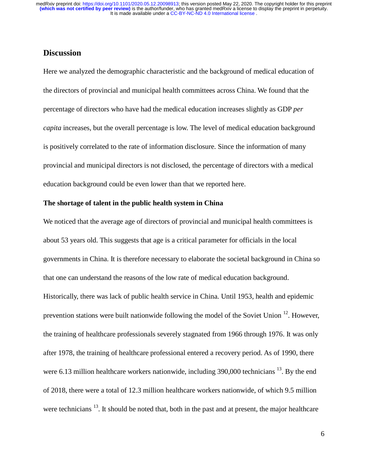# **Discussion**

Here we analyzed the demographic characteristic and the background of medical education of the directors of provincial and municipal health committees across China. We found that the percentage of directors who have had the medical education increases slightly as GDP *per capita* increases, but the overall percentage is low. The level of medical education background is positively correlated to the rate of information disclosure. Since the information of many provincial and municipal directors is not disclosed, the percentage of directors with a medical education background could be even lower than that we reported here.

# **The shortage of talent in the public health system in China**

We noticed that the average age of directors of provincial and municipal health committees is about 53 years old. This suggests that age is a critical parameter for officials in the local governments in China. It is therefore necessary to elaborate the societal background in China so that one can understand the reasons of the low rate of medical education background. Historically, there was lack of public health service in China. Until 1953, health and epidemic prevention stations were built nationwide following the model of the Soviet Union  $12$ . However, the training of healthcare professionals severely stagnated from 1966 through 1976. It was only after 1978, the training of healthcare professional entered a recovery period. As of 1990, there were 6.13 million healthcare workers nationwide, including 390,000 technicians <sup>13</sup>. By the end of 2018, there were a total of 12.3 million healthcare workers nationwide, of which 9.5 million were technicians <sup>13</sup>. It should be noted that, both in the past and at present, the major healthcare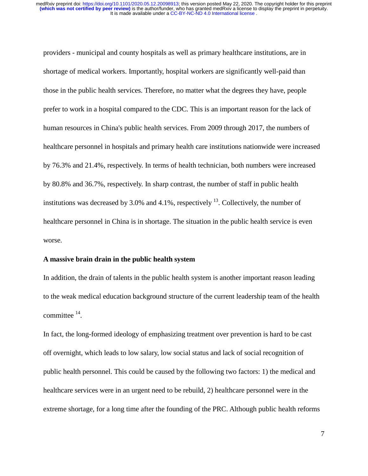providers - municipal and county hospitals as well as primary healthcare institutions, are in shortage of medical workers. Importantly, hospital workers are significantly well-paid than those in the public health services. Therefore, no matter what the degrees they have, people prefer to work in a hospital compared to the CDC. This is an important reason for the lack of human resources in China's public health services. From 2009 through 2017, the numbers of healthcare personnel in hospitals and primary health care institutions nationwide were increased by 76.3% and 21.4%, respectively. In terms of health technician, both numbers were increased by 80.8% and 36.7%, respectively. In sharp contrast, the number of staff in public health institutions was decreased by 3.0% and 4.1%, respectively  $^{13}$ . Collectively, the number of healthcare personnel in China is in shortage. The situation in the public health service is even worse.

#### **A massive brain drain in the public health system**

In addition, the drain of talents in the public health system is another important reason leading to the weak medical education background structure of the current leadership team of the health committee 14.

In fact, the long-formed ideology of emphasizing treatment over prevention is hard to be cast off overnight, which leads to low salary, low social status and lack of social recognition of public health personnel. This could be caused by the following two factors: 1) the medical and healthcare services were in an urgent need to be rebuild, 2) healthcare personnel were in the extreme shortage, for a long time after the founding of the PRC. Although public health reforms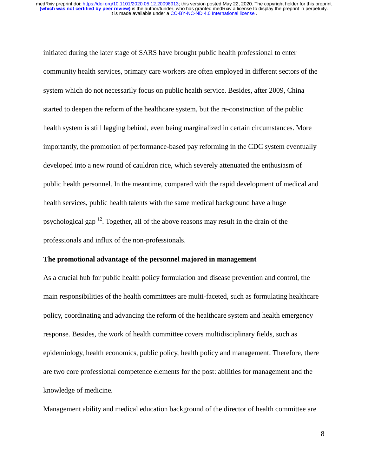initiated during the later stage of SARS have brought public health professional to enter community health services, primary care workers are often employed in different sectors of the system which do not necessarily focus on public health service. Besides, after 2009, China started to deepen the reform of the healthcare system, but the re-construction of the public health system is still lagging behind, even being marginalized in certain circumstances. More importantly, the promotion of performance-based pay reforming in the CDC system eventually developed into a new round of cauldron rice, which severely attenuated the enthusiasm of public health personnel. In the meantime, compared with the rapid development of medical and health services, public health talents with the same medical background have a huge psychological gap  $^{12}$ . Together, all of the above reasons may result in the drain of the professionals and influx of the non-professionals.

#### **The promotional advantage of the personnel majored in management**

As a crucial hub for public health policy formulation and disease prevention and control, the main responsibilities of the health committees are multi-faceted, such as formulating healthcare policy, coordinating and advancing the reform of the healthcare system and health emergency response. Besides, the work of health committee covers multidisciplinary fields, such as epidemiology, health economics, public policy, health policy and management. Therefore, there are two core professional competence elements for the post: abilities for management and the knowledge of medicine.

Management ability and medical education background of the director of health committee are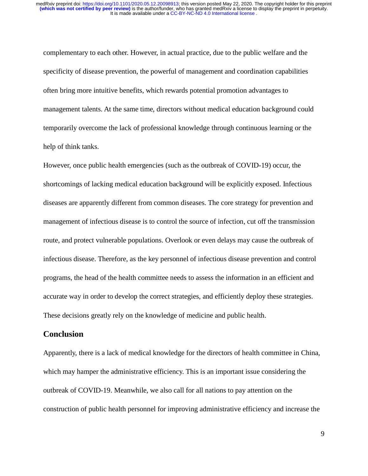complementary to each other. However, in actual practice, due to the public welfare and the specificity of disease prevention, the powerful of management and coordination capabilities often bring more intuitive benefits, which rewards potential promotion advantages to management talents. At the same time, directors without medical education background could temporarily overcome the lack of professional knowledge through continuous learning or the help of think tanks.

However, once public health emergencies (such as the outbreak of COVID-19) occur, the shortcomings of lacking medical education background will be explicitly exposed. Infectious diseases are apparently different from common diseases. The core strategy for prevention and management of infectious disease is to control the source of infection, cut off the transmission route, and protect vulnerable populations. Overlook or even delays may cause the outbreak of infectious disease. Therefore, as the key personnel of infectious disease prevention and control programs, the head of the health committee needs to assess the information in an efficient and accurate way in order to develop the correct strategies, and efficiently deploy these strategies. These decisions greatly rely on the knowledge of medicine and public health.

### **Conclusion**

Apparently, there is a lack of medical knowledge for the directors of health committee in China, which may hamper the administrative efficiency. This is an important issue considering the outbreak of COVID-19. Meanwhile, we also call for all nations to pay attention on the construction of public health personnel for improving administrative efficiency and increase the

9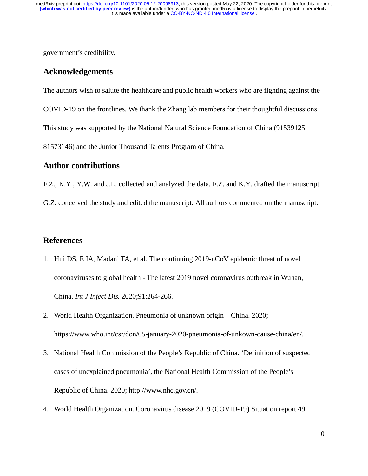government's credibility.

#### **Acknowledgements**

The authors wish to salute the healthcare and public health workers who are fighting against the COVID-19 on the frontlines. We thank the Zhang lab members for their thoughtful discussions. This study was supported by the National Natural Science Foundation of China (91539125, 81573146) and the Junior Thousand Talents Program of China.

#### **Author contributions**

F.Z., K.Y., Y.W. and J.L. collected and analyzed the data. F.Z. and K.Y. drafted the manuscript.

G.Z. conceived the study and edited the manuscript. All authors commented on the manuscript.

#### **References**

- 1. Hui DS, E IA, Madani TA, et al. The continuing 2019-nCoV epidemic threat of novel coronaviruses to global health - The latest 2019 novel coronavirus outbreak in Wuhan, China. *Int J Infect Dis.* 2020;91:264-266.
- 2. World Health Organization. Pneumonia of unknown origin China. 2020; https://www.who.int/csr/don/05-january-2020-pneumonia-of-unkown-cause-china/en/.
- 3. National Health Commission of the People's Republic of China. 'Definition of suspected cases of unexplained pneumonia', the National Health Commission of the People's Republic of China. 2020; http://www.nhc.gov.cn/.
- 4. World Health Organization. Coronavirus disease 2019 (COVID-19) Situation report 49.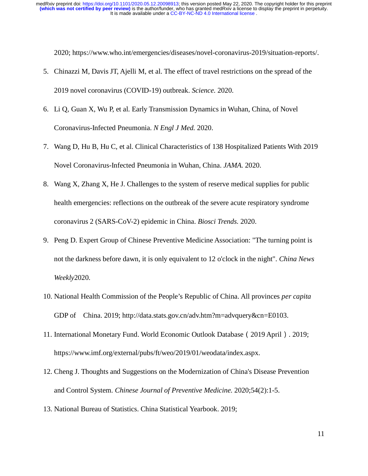2020; https://www.who.int/emergencies/diseases/novel-coronavirus-2019/situation-reports/.

- 5. Chinazzi M, Davis JT, Ajelli M, et al. The effect of travel restrictions on the spread of the 2019 novel coronavirus (COVID-19) outbreak. *Science.* 2020.
- 6. Li Q, Guan X, Wu P, et al. Early Transmission Dynamics in Wuhan, China, of Novel Coronavirus-Infected Pneumonia. *N Engl J Med.* 2020.
- 7. Wang D, Hu B, Hu C, et al. Clinical Characteristics of 138 Hospitalized Patients With 2019 Novel Coronavirus-Infected Pneumonia in Wuhan, China. *JAMA.* 2020.
- 8. Wang X, Zhang X, He J. Challenges to the system of reserve medical supplies for public health emergencies: reflections on the outbreak of the severe acute respiratory syndrome coronavirus 2 (SARS-CoV-2) epidemic in China. *Biosci Trends.* 2020.
- 9. Peng D. Expert Group of Chinese Preventive Medicine Association: "The turning point is not the darkness before dawn, it is only equivalent to 12 o'clock in the night". *China News Weekly*2020.
- 10. National Health Commission of the People's Republic of China. All provinces *per capita* GDP of China. 2019; http://data.stats.gov.cn/adv.htm?m=advquery&cn=E0103.
- 11. International Monetary Fund. World Economic Outlook Database(2019 April). 2019; https://www.imf.org/external/pubs/ft/weo/2019/01/weodata/index.aspx.
- 12. Cheng J. Thoughts and Suggestions on the Modernization of China's Disease Prevention and Control System. *Chinese Journal of Preventive Medicine.* 2020;54(2):1-5.
- 13. National Bureau of Statistics. China Statistical Yearbook. 2019;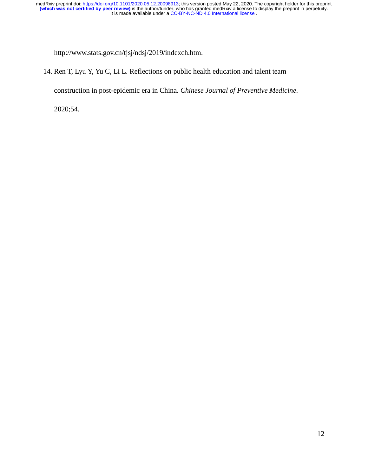http://www.stats.gov.cn/tjsj/ndsj/2019/indexch.htm.

14. Ren T, Lyu Y, Yu C, Li L. Reflections on public health education and talent team

construction in post-epidemic era in China. *Chinese Journal of Preventive Medicine.* 

2020;54.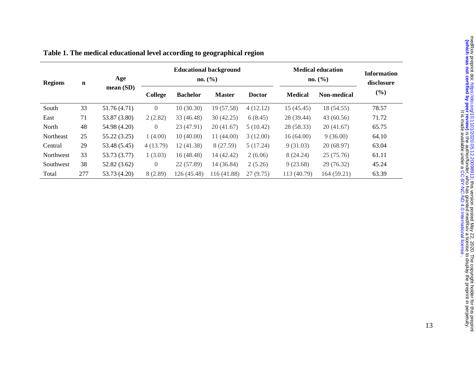| <b>Regions</b> | $\mathbf n$ | Age          |                |                 | <b>Educational background</b><br>no. (%) | <b>Medical education</b><br>no. (%) | <b>Information</b><br>disclosure |                    |        |
|----------------|-------------|--------------|----------------|-----------------|------------------------------------------|-------------------------------------|----------------------------------|--------------------|--------|
|                |             | mean(SD)     | College        | <b>Bachelor</b> | <b>Master</b>                            | <b>Doctor</b>                       | <b>Medical</b>                   | <b>Non-medical</b> | $(\%)$ |
| South          | 33          | 51.76 (4.71) | $\overline{0}$ | 10(30.30)       | 19 (57.58)                               | 4(12.12)                            | 15(45.45)                        | 18 (54.55)         | 78.57  |
| East           | 71          | 53.87 (3.80) | 2(2.82)        | 33 (46.48)      | 30(42.25)                                | 6(8.45)                             | 28 (39.44)                       | 43 (60.56)         | 71.72  |
| North          | 48          | 54.98 (4.20) | $\overline{0}$ | 23 (47.91)      | 20(41.67)                                | 5(10.42)                            | 28 (58.33)                       | 20(41.67)          | 65.75  |
| Northeast      | 25          | 55.22 (3.25) | 1(4.00)        | 10(40.00)       | 11(44.00)                                | 3(12.00)                            | 16(64.00)                        | 9(36.00)           | 64.10  |
| Central        | 29          | 53.48 (5.45) | 4(13.79)       | 12 (41.38)      | 8 (27.59)                                | 5(17.24)                            | 9(31.03)                         | 20(68.97)          | 63.04  |
| Northwest      | 33          | 53.73 (3.77) | 1(3.03)        | 16(48.48)       | 14 (42.42)                               | 2(6.06)                             | 8 (24.24)                        | 25(75.76)          | 61.11  |
| Southwest      | 38          | 52.82 (3.62) | $\Omega$       | 22 (57.89)      | 14 (36.84)                               | 2(5.26)                             | 9(23.68)                         | 29 (76.32)         | 45.24  |
| Total          | 277         | 53.73 (4.20) | 8(2.89)        | 126 (45.48)     | 116 (41.88)                              | 27(9.75)                            | 113 (40.79)                      | 164(59.21)         | 63.39  |

|  |  |  | Table 1. The medical educational level according to geographical region |  |
|--|--|--|-------------------------------------------------------------------------|--|
|  |  |  |                                                                         |  |
|  |  |  |                                                                         |  |
|  |  |  |                                                                         |  |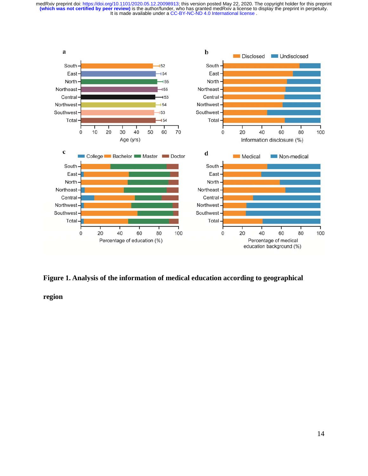

#### **Figure 1. Analysis of the information of medical education according to geographical**

**region**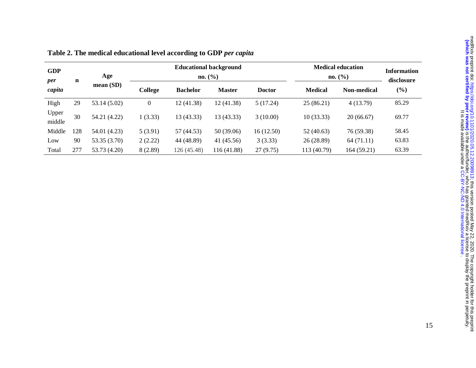| <b>GDP</b><br>per | $\mathbf n$ | Age          |          |                 | <b>Educational background</b><br>no. (%) |               | <b>Medical education</b><br>no. (%) | Information<br>disclosure |        |
|-------------------|-------------|--------------|----------|-----------------|------------------------------------------|---------------|-------------------------------------|---------------------------|--------|
| capita            |             | mean(SD)     | College  | <b>Bachelor</b> | <b>Master</b>                            | <b>Doctor</b> | <b>Medical</b>                      | <b>Non-medical</b>        | $(\%)$ |
| High              | 29          | 53.14 (5.02) | $\theta$ | 12 (41.38)      | 12(41.38)                                | 5(17.24)      | 25(86.21)                           | 4(13.79)                  | 85.29  |
| Upper<br>middle   | 30          | 54.21 (4.22) | 1(3.33)  | 13 (43.33)      | 13(43.33)                                | 3(10.00)      | 10(33.33)                           | 20(66.67)                 | 69.77  |
| Middle            | 128         | 54.01 (4.23) | 5(3.91)  | 57 (44.53)      | 50 (39.06)                               | 16(12.50)     | 52(40.63)                           | 76 (59.38)                | 58.45  |
| Low               | 90          | 53.35 (3.70) | 2(2.22)  | 44 (48.89)      | 41 (45.56)                               | 3(3.33)       | 26(28.89)                           | 64(71.11)                 | 63.83  |
| Total             | 277         | 53.73 (4.20) | 8(2.89)  | 126(45.48)      | 116 (41.88)                              | 27(9.75)      | 113 (40.79)                         | 164(59.21)                | 63.39  |

| Table 2. The medical educational level according to GDP per capita |  |  |
|--------------------------------------------------------------------|--|--|
|--------------------------------------------------------------------|--|--|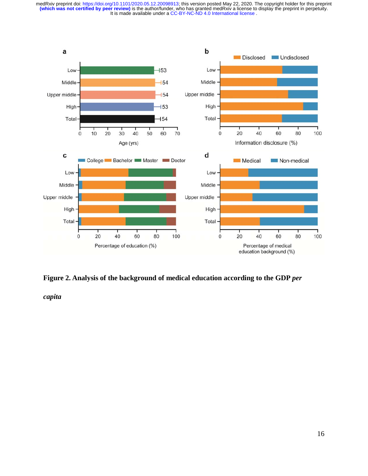

#### **Figure 2. Analysis of the background of medical education according to the GDP** *per*

*capita*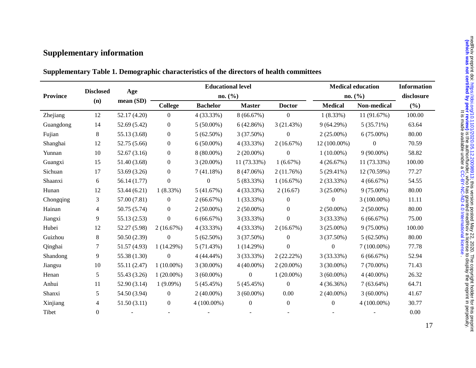# **Supplementary information**

|                 |                  |              |                  | <b>Educational level</b> |                  | <b>Medical education</b> | <b>Information</b><br>disclosure |               |        |
|-----------------|------------------|--------------|------------------|--------------------------|------------------|--------------------------|----------------------------------|---------------|--------|
| <b>Province</b> | <b>Disclosed</b> | Age          |                  | no. (%)                  |                  | no. (%)                  |                                  |               |        |
|                 | (n)              | mean (SD)    | <b>College</b>   | <b>Bachelor</b>          | <b>Master</b>    | <b>Doctor</b>            | <b>Medical</b>                   | Non-medical   | (%)    |
| Zhejiang        | 12               | 52.17 (4.20) | $\overline{0}$   | 4 (33.33%)               | 8(66.67%)        | $\boldsymbol{0}$         | $1(8.33\%)$                      | 11 (91.67%)   | 100.00 |
| Guangdong       | 14               | 52.69 (5.42) | $\boldsymbol{0}$ | $5(50.00\%)$             | 6(42.86%)        | 3(21.43%)                | 9(64.29%)                        | 5(35.71%)     | 63.64  |
| Fujian          | 8                | 55.13 (3.68) | $\boldsymbol{0}$ | $5(62.50\%)$             | 3(37.50%)        | $\overline{0}$           | $2(25.00\%)$                     | $6(75.00\%)$  | 80.00  |
| Shanghai        | 12               | 52.75 (5.66) | $\boldsymbol{0}$ | $6(50.00\%)$             | 4 (33.33%)       | 2(16.67%)                | 12 (100.00%)                     | $\mathbf{0}$  | 70.59  |
| Yunnan          | 10               | 52.67 (3.16) | $\boldsymbol{0}$ | 8 (80.00%)               | $2(20.00\%)$     | $\boldsymbol{0}$         | $1(10.00\%)$                     | $9(90.00\%)$  | 58.82  |
| Guangxi         | 15               | 51.40 (3.68) | $\boldsymbol{0}$ | $3(20.00\%)$             | 11 (73.33%)      | 1(6.67%)                 | 4(26.67%)                        | 11 (73.33%)   | 100.00 |
| Sichuan         | 17               | 53.69 (3.26) | $\boldsymbol{0}$ | 7(41.18%)                | 8 (47.06%)       | 2(11.76%)                | $5(29.41\%)$                     | 12 (70.59%)   | 77.27  |
| Shaanxi         | 6                | 56.14 (1.77) | $\boldsymbol{0}$ | $\boldsymbol{0}$         | 5(83.33%)        | 1(16.67%)                | 2(33.33%)                        | 4(66.67%)     | 54.55  |
| Hunan           | 12               | 53.44(6.21)  | $1(8.33\%)$      | 5(41.67%)                | 4 (33.33%)       | 2(16.67)                 | $3(25.00\%)$                     | $9(75.00\%)$  | 80.00  |
| Chongqing       | 3                | 57.00 (7.81) | $\boldsymbol{0}$ | 2(66.67%)                | 1(33.33%)        | $\overline{0}$           | $\boldsymbol{0}$                 | $3(100.00\%)$ | 11.11  |
| Hainan          | 4                | 50.75 (5.74) | $\mathbf{0}$     | $2(50.00\%)$             | $2(50.00\%)$     | $\overline{0}$           | $2(50.00\%)$                     | $2(50.00\%)$  | 80.00  |
| Jiangxi         | 9                | 55.13 (2.53) | $\boldsymbol{0}$ | 6(66.67%)                | 3 (33.33%)       | $\boldsymbol{0}$         | 3(33.33%)                        | 6(66.67%)     | 75.00  |
| Hubei           | 12               | 52.27 (5.98) | 2(16.67%)        | 4 (33.33%)               | 4 (33.33%)       | 2(16.67%)                | $3(25.00\%)$                     | $9(75.00\%)$  | 100.00 |
| Guizhou         | 8                | 50.50 (2.39) | $\boldsymbol{0}$ | $5(62.50\%)$             | 3(37.50%)        | $\overline{0}$           | 3(37.50%)                        | $5(62.50\%)$  | 80.00  |
| Qinghai         | 7                | 51.57 (4.93) | 1(14.29%)        | 5(71.43%)                | 1(14.29%)        | $\overline{0}$           | $\overline{0}$                   | $7(100.00\%)$ | 77.78  |
| Shandong        | 9                | 55.38 (1.30) | $\boldsymbol{0}$ | 4 (44.44%)               | 3 (33.33%)       | 2(22.22%)                | 3 (33.33%)                       | 6(66.67%)     | 52.94  |
| Jiangsu         | 10               | 55.11 (2.47) | $1(10.00\%)$     | $3(30.00\%)$             | $4(40.00\%)$     | $2(20.00\%)$             | $3(30.00\%)$                     | $7(70.00\%)$  | 71.43  |
| Henan           | 5                | 55.43 (3.26) | $1(20.00\%)$     | $3(60.00\%)$             | $\boldsymbol{0}$ | $1(20.00\%)$             | $3(60.00\%)$                     | $4(40.00\%)$  | 26.32  |
| Anhui           | 11               | 52.90 (3.14) | $1(9.09\%)$      | 5(45.45%)                | 5(45.45%)        | $\overline{0}$           | 4(36.36%)                        | $7(63.64\%)$  | 64.71  |
| Shanxi          | 5                | 54.50 (3.94) | $\mathbf{0}$     | $2(40.00\%)$             | $3(60.00\%)$     | 0.00                     | $2(40.00\%)$                     | $3(60.00\%)$  | 41.67  |
| Xinjiang        | $\overline{4}$   | 51.50(3.11)  | $\overline{0}$   | $4(100.00\%)$            | $\overline{0}$   | $\overline{0}$           | $\theta$                         | $4(100.00\%)$ | 30.77  |
| Tibet           | $\mathbf{0}$     |              |                  |                          |                  |                          |                                  |               | 0.00   |

**Supplementary Table 1. Demographic characteristics of the directors of health committees** 

17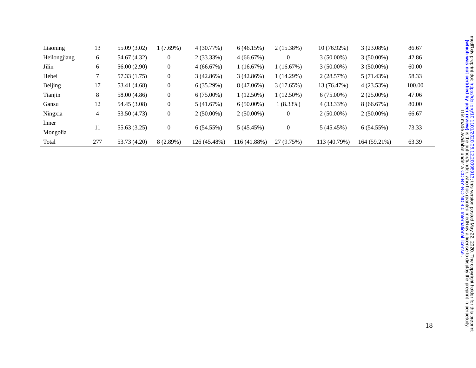| Liaoning       | 13  | 55.09 (3.02) | 1(7.69%)         | 4(30.77%)    | 6(46.15%)    | 2(15.38%)      | $10(76.92\%)$ | $3(23.08\%)$ | 86.67  |
|----------------|-----|--------------|------------------|--------------|--------------|----------------|---------------|--------------|--------|
| Heilongjiang   | 6   | 54.67 (4.32) | $\boldsymbol{0}$ | $2(33.33\%)$ | 4(66.67%)    | $\overline{0}$ | $3(50.00\%)$  | $3(50.00\%)$ | 42.86  |
| Jilin          | 6   | 56.00 (2.90) | $\boldsymbol{0}$ | 4(66.67%)    | 1(16.67%)    | 1(16.67%)      | $3(50.00\%)$  | $3(50.00\%)$ | 60.00  |
| Hebei          |     | 57.33 (1.75) | $\boldsymbol{0}$ | 3(42.86%)    | 3(42.86%)    | 1(14.29%)      | 2(28.57%)     | 5(71.43%)    | 58.33  |
| <b>Beijing</b> | 17  | 53.41 (4.68) | $\boldsymbol{0}$ | 6(35.29%)    | 8 (47.06%)   | 3(17.65%)      | 13 (76.47%)   | 4(23.53%)    | 100.00 |
| Tianjin        | 8   | 58.00 (4.86) | $\boldsymbol{0}$ | $6(75.00\%)$ | $1(12.50\%)$ | $1(12.50\%)$   | $6(75.00\%)$  | $2(25.00\%)$ | 47.06  |
| Gansu          | 12  | 54.45 (3.08) | $\boldsymbol{0}$ | 5(41.67%)    | $6(50.00\%)$ | $1(8.33\%)$    | 4 (33.33%)    | 8(66.67%)    | 80.00  |
| Ningxia        | 4   | 53.50 (4.73) | $\boldsymbol{0}$ | $2(50.00\%)$ | $2(50.00\%)$ | $\overline{0}$ | $2(50.00\%)$  | $2(50.00\%)$ | 66.67  |
| Inner          | 11  |              |                  |              |              |                |               |              |        |
| Mongolia       |     | 55.63 (3.25) | $\boldsymbol{0}$ | $6(54.55\%)$ | 5 (45.45%)   | $\overline{0}$ | 5(45.45%)     | $6(54.55\%)$ | 73.33  |
| Total          | 277 | 53.73 (4.20) | 8 (2.89%)        | 126 (45.48%) | 116 (41.88%) | 27 (9.75%)     | 113 (40.79%)  | 164 (59.21%) | 63.39  |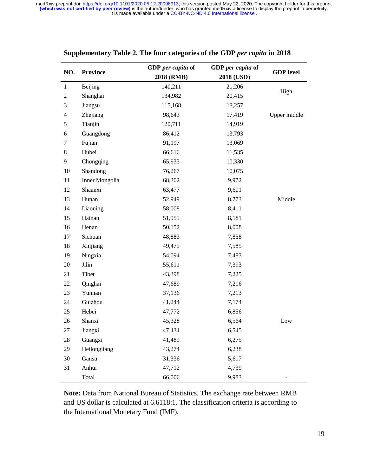|                         |                 | GDP per capita of | GDP per capita of |                  |  |
|-------------------------|-----------------|-------------------|-------------------|------------------|--|
| NO.                     | <b>Province</b> | 2018 (RMB)        | 2018 (USD)        | <b>GDP</b> level |  |
| $\mathbf{1}$            | Beijing         | 140,211           | 21,206            |                  |  |
| $\overline{2}$          | Shanghai        | 134,982           | 20,415            | High             |  |
| 3                       | Jiangsu         | 115,168           | 18,257            |                  |  |
| $\overline{\mathbf{4}}$ | Zhejiang        | 98,643            | 17,419            | Upper middle     |  |
| 5                       | Tianjin         | 120,711           | 14,919            |                  |  |
| 6                       | Guangdong       | 86,412            | 13,793            |                  |  |
| 7                       | Fujian          | 91,197            | 13,069            |                  |  |
| $8\,$                   | Hubei           | 66,616            | 11,535            |                  |  |
| 9                       | Chongqing       | 65,933            | 10,330            |                  |  |
| 10                      | Shandong        | 76,267            | 10,075            |                  |  |
| 11                      | Inner Mongolia  | 68,302            | 9,972             |                  |  |
| 12                      | Shaanxi         | 63,477            | 9,601             |                  |  |
| 13                      | Hunan           | 52,949            | 8,773             | Middle           |  |
| 14                      | Liaoning        | 58,008            | 8,411             |                  |  |
| 15                      | Hainan          | 51,955            | 8,181             |                  |  |
| 16                      | Henan           | 50,152            | 8,008             |                  |  |
| 17                      | Sichuan         | 48,883            | 7,858             |                  |  |
| 18                      | Xinjiang        | 49,475            | 7,585             |                  |  |
| 19                      | Ningxia         | 54,094            | 7,483             |                  |  |
| 20                      | Jilin           | 55,611            | 7,393             |                  |  |
| 21                      | Tibet           | 43,398            | 7,225             |                  |  |
| 22                      | Qinghai         | 47,689            | 7,216             |                  |  |
| 23                      | Yunnan          | 37,136            | 7,213             |                  |  |
| 24                      | Guizhou         | 41,244            | 7,174             |                  |  |
| 25                      | Hebei           | 47,772            | 6,856             |                  |  |
| 26                      | Shanxi          | 45,328            | 6,564             | Low              |  |
| 27                      | Jiangxi         | 47,434            | 6,545             |                  |  |
| 28                      | Guangxi         | 41,489            | 6,275             |                  |  |
| 29                      | Heilongjiang    | 43,274            | 6,238             |                  |  |
| 30                      | Gansu           | 31,336            | 5,617             |                  |  |
| 31                      | Anhui           | 47,712            | 4,739             |                  |  |
|                         | Total           | 66,006            | 9,983             |                  |  |

#### **Supplementary Table 2. The four categories of the GDP** *per capita* **in 2018**

**Note:** Data from National Bureau of Statistics. The exchange rate between RMB and US dollar is calculated at 6.6118:1. The classification criteria is according to the International Monetary Fund (IMF).